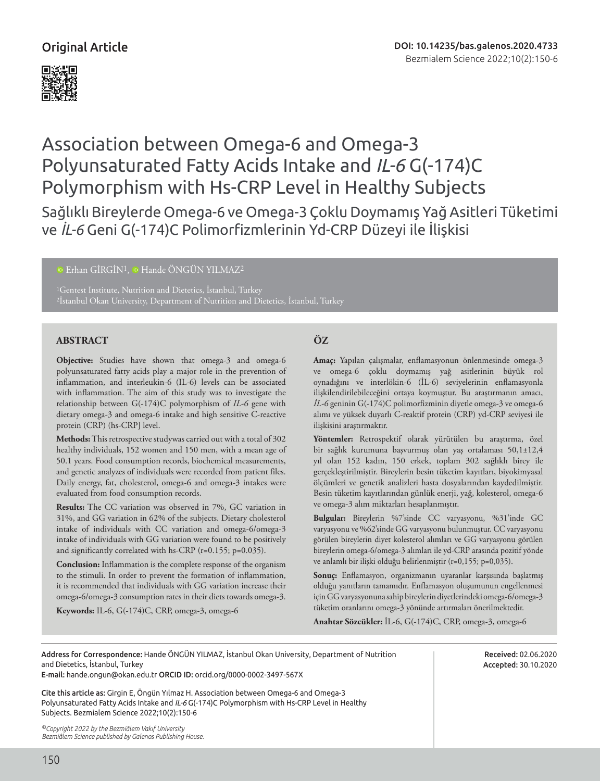

# Association between Omega-6 and Omega-3 Polyunsaturated Fatty Acids Intake and *IL-6* G(-174)C Polymorphism with Hs-CRP Level in Healthy Subjects

Sağlıklı Bireylerde Omega-6 ve Omega-3 Çoklu Doymamış Yağ Asitleri Tüketimi ve *İL-6* Geni G(-174)C Polimorfizmlerinin Yd-CRP Düzeyi ile İlişkisi

<sup>10</sup>Erhan GİRGİN<sup>1</sup>, <sup>10</sup> Hande ÖNGÜN YILMAZ<sup>2</sup>

1Gentest Institute, Nutrition and Dietetics, İstanbul, Turkey 2İstanbul Okan University, Department of Nutrition and Dietetics, İstanbul, Turkey

# **ABSTRACT ÖZ**

**Objective:** Studies have shown that omega-3 and omega-6 polyunsaturated fatty acids play a major role in the prevention of inflammation, and interleukin-6 (IL-6) levels can be associated with inflammation. The aim of this study was to investigate the relationship between G(-174)C polymorphism of *IL-6* gene with dietary omega-3 and omega-6 intake and high sensitive C-reactive protein (CRP) (hs-CRP] level.

**Methods:** This retrospective studywas carried out with a total of 302 healthy individuals, 152 women and 150 men, with a mean age of 50.1 years. Food consumption records, biochemical measurements, and genetic analyzes of individuals were recorded from patient files. Daily energy, fat, cholesterol, omega-6 and omega-3 intakes were evaluated from food consumption records.

**Results:** The CC variation was observed in 7%, GC variation in 31%, and GG variation in 62% of the subjects. Dietary cholesterol intake of individuals with CC variation and omega-6/omega-3 intake of individuals with GG variation were found to be positively and significantly correlated with hs-CRP (r=0.155; p=0.035).

**Conclusion:** Inflammation is the complete response of the organism to the stimuli. In order to prevent the formation of inflammation, it is recommended that individuals with GG variation increase their omega-6/omega-3 consumption rates in their diets towards omega-3.

**Keywords:** IL-6, G(-174)C, CRP, omega-3, omega-6

**Amaç:** Yapılan çalışmalar, enflamasyonun önlenmesinde omega-3 ve omega-6 çoklu doymamış yağ asitlerinin büyük rol oynadığını ve interlökin-6 (İL-6) seviyelerinin enflamasyonla ilişkilendirilebileceğini ortaya koymuştur. Bu araştırmanın amacı, *İL-6* geninin G(-174)C polimorfizminin diyetle omega-3 ve omega-6 alımı ve yüksek duyarlı C-reaktif protein (CRP) yd-CRP seviyesi ile ilişkisini araştırmaktır.

**Yöntemler:** Retrospektif olarak yürütülen bu araştırma, özel bir sağlık kurumuna başvurmuş olan yaş ortalaması 50,1±12,4 yıl olan 152 kadın, 150 erkek, toplam 302 sağlıklı birey ile gerçekleştirilmiştir. Bireylerin besin tüketim kayıtları, biyokimyasal ölçümleri ve genetik analizleri hasta dosyalarından kaydedilmiştir. Besin tüketim kayıtlarından günlük enerji, yağ, kolesterol, omega-6 ve omega-3 alım miktarları hesaplanmıştır.

**Bulgular:** Bireylerin %7'sinde CC varyasyonu, %31'inde GC varyasyonu ve %62'sinde GG varyasyonu bulunmuştur. CC varyasyonu görülen bireylerin diyet kolesterol alımları ve GG varyasyonu görülen bireylerin omega-6/omega-3 alımları ile yd-CRP arasında pozitif yönde ve anlamlı bir ilişki olduğu belirlenmiştir (r=0,155; p=0,035).

**Sonuç:** Enflamasyon, organizmanın uyaranlar karşısında başlatmış olduğu yanıtların tamamıdır. Enflamasyon oluşumunun engellenmesi için GG varyasyonuna sahip bireylerin diyetlerindeki omega-6/omega-3 tüketim oranlarını omega-3 yönünde artırmaları önerilmektedir.

**Anahtar Sözcükler:** İL-6, G(-174)C, CRP, omega-3, omega-6

Address for Correspondence: Hande ÖNGÜN YILMAZ, İstanbul Okan University, Department of Nutrition and Dietetics, İstanbul, Turkey

E-mail: hande.ongun@okan.edu.tr ORCID ID: orcid.org/0000-0002-3497-567X

Cite this article as: Girgin E, Öngün Yılmaz H. Association between Omega-6 and Omega-3 Polyunsaturated Fatty Acids Intake and *IL-6* G(-174)C Polymorphism with Hs-CRP Level in Healthy Subjects. Bezmialem Science 2022;10(2):150-6

*©Copyright 2022 by the Bezmiâlem Vakıf University Bezmiâlem Science published by Galenos Publishing House.*

Received: 02.06.2020 Accepted: 30.10.2020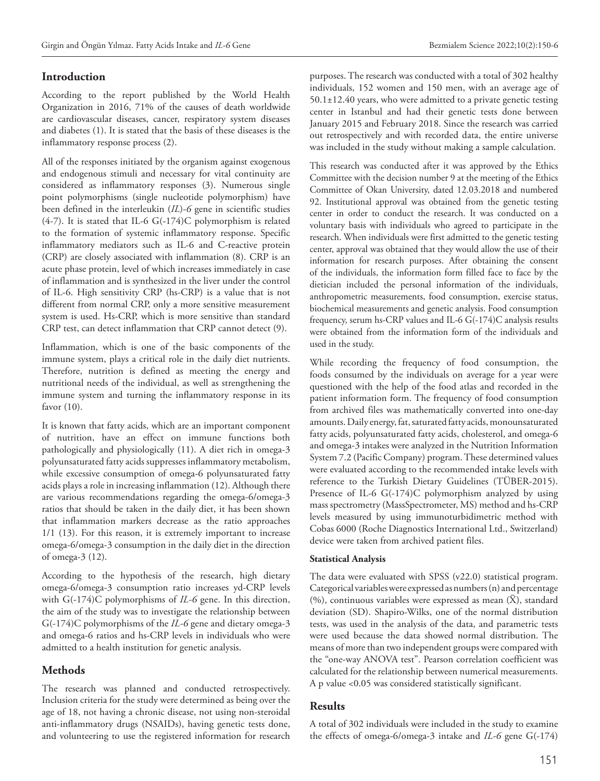# **Introduction**

According to the report published by the World Health Organization in 2016, 71% of the causes of death worldwide are cardiovascular diseases, cancer, respiratory system diseases and diabetes (1). It is stated that the basis of these diseases is the inflammatory response process (2).

All of the responses initiated by the organism against exogenous and endogenous stimuli and necessary for vital continuity are considered as inflammatory responses (3). Numerous single point polymorphisms (single nucleotide polymorphism) have been defined in the interleukin (*IL*)-*6* gene in scientific studies (4-7). It is stated that IL-6 G(-174)C polymorphism is related to the formation of systemic inflammatory response. Specific inflammatory mediators such as IL-6 and C-reactive protein (CRP) are closely associated with inflammation (8). CRP is an acute phase protein, level of which increases immediately in case of inflammation and is synthesized in the liver under the control of IL-6. High sensitivity CRP (hs-CRP) is a value that is not different from normal CRP, only a more sensitive measurement system is used. Hs-CRP, which is more sensitive than standard CRP test, can detect inflammation that CRP cannot detect (9).

Inflammation, which is one of the basic components of the immune system, plays a critical role in the daily diet nutrients. Therefore, nutrition is defined as meeting the energy and nutritional needs of the individual, as well as strengthening the immune system and turning the inflammatory response in its favor (10).

It is known that fatty acids, which are an important component of nutrition, have an effect on immune functions both pathologically and physiologically (11). A diet rich in omega-3 polyunsaturated fatty acids suppresses inflammatory metabolism, while excessive consumption of omega-6 polyunsaturated fatty acids plays a role in increasing inflammation (12). Although there are various recommendations regarding the omega-6/omega-3 ratios that should be taken in the daily diet, it has been shown that inflammation markers decrease as the ratio approaches 1/1 (13). For this reason, it is extremely important to increase omega-6/omega-3 consumption in the daily diet in the direction of omega-3 (12).

According to the hypothesis of the research, high dietary omega-6/omega-3 consumption ratio increases yd-CRP levels with G(-174)C polymorphisms of *IL-6* gene. In this direction, the aim of the study was to investigate the relationship between G(-174)C polymorphisms of the *IL-6* gene and dietary omega-3 and omega-6 ratios and hs-CRP levels in individuals who were admitted to a health institution for genetic analysis.

# **Methods**

The research was planned and conducted retrospectively. Inclusion criteria for the study were determined as being over the age of 18, not having a chronic disease, not using non-steroidal anti-inflammatory drugs (NSAIDs), having genetic tests done, and volunteering to use the registered information for research

purposes. The research was conducted with a total of 302 healthy individuals, 152 women and 150 men, with an average age of 50.1±12.40 years, who were admitted to a private genetic testing center in Istanbul and had their genetic tests done between January 2015 and February 2018. Since the research was carried out retrospectively and with recorded data, the entire universe was included in the study without making a sample calculation.

This research was conducted after it was approved by the Ethics Committee with the decision number 9 at the meeting of the Ethics Committee of Okan University, dated 12.03.2018 and numbered 92. Institutional approval was obtained from the genetic testing center in order to conduct the research. It was conducted on a voluntary basis with individuals who agreed to participate in the research. When individuals were first admitted to the genetic testing center, approval was obtained that they would allow the use of their information for research purposes. After obtaining the consent of the individuals, the information form filled face to face by the dietician included the personal information of the individuals, anthropometric measurements, food consumption, exercise status, biochemical measurements and genetic analysis. Food consumption frequency, serum hs-CRP values and IL-6 G(-174)C analysis results were obtained from the information form of the individuals and used in the study.

While recording the frequency of food consumption, the foods consumed by the individuals on average for a year were questioned with the help of the food atlas and recorded in the patient information form. The frequency of food consumption from archived files was mathematically converted into one-day amounts. Daily energy, fat, saturated fatty acids, monounsaturated fatty acids, polyunsaturated fatty acids, cholesterol, and omega-6 and omega-3 intakes were analyzed in the Nutrition Information System 7.2 (Pacific Company) program. These determined values were evaluated according to the recommended intake levels with reference to the Turkish Dietary Guidelines (TÜBER-2015). Presence of IL-6 G(-174)C polymorphism analyzed by using mass spectrometry (MassSpectrometer, MS) method and hs-CRP levels measured by using immunoturbidimetric method with Cobas 6000 (Roche Diagnostics International Ltd., Switzerland) device were taken from archived patient files.

#### **Statistical Analysis**

The data were evaluated with SPSS (v22.0) statistical program. Categorical variables were expressed as numbers (n) and percentage (%), continuous variables were expressed as mean (X− ), standard deviation (SD). Shapiro-Wilks, one of the normal distribution tests, was used in the analysis of the data, and parametric tests were used because the data showed normal distribution. The means of more than two independent groups were compared with the "one-way ANOVA test". Pearson correlation coefficient was calculated for the relationship between numerical measurements. A p value <0.05 was considered statistically significant.

# **Results**

A total of 302 individuals were included in the study to examine the effects of omega-6/omega-3 intake and *IL-6* gene G(-174)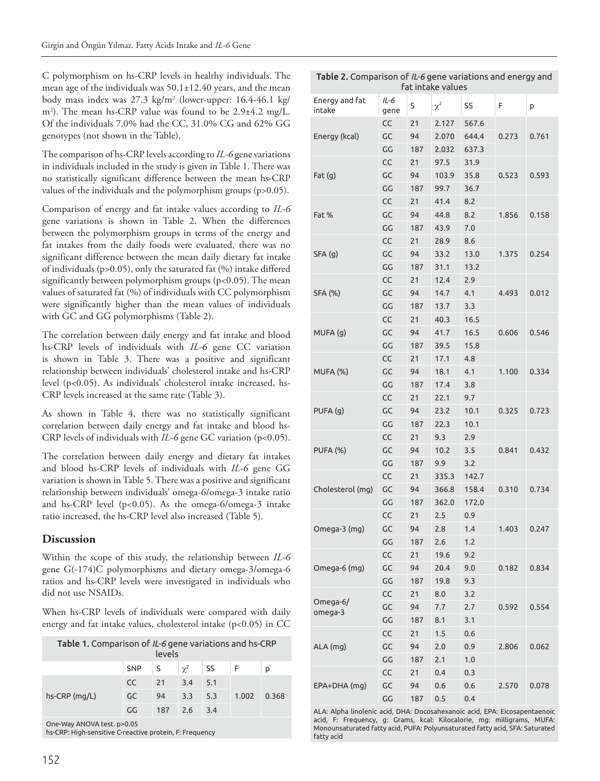C polymorphism on hs-CRP levels in healthy individuals. The mean age of the individuals was 50.1±12.40 years, and the mean body mass index was 27.3 kg/m2 (lower-upper: 16.4-46.1 kg/ m2 ). The mean hs-CRP value was found to be 2.9±4.2 mg/L. Of the individuals 7.0% had the CC, 31.0% CG and 62% GG genotypes (not shown in the Table).

The comparison of hs-CRP levels according to *IL-6* gene variations in individuals included in the study is given in Table 1. There was no statistically significant difference between the mean hs-CRP values of the individuals and the polymorphism groups (p>0.05).

Comparison of energy and fat intake values according to *IL-6* gene variations is shown in Table 2. When the differences between the polymorphism groups in terms of the energy and fat intakes from the daily foods were evaluated, there was no significant difference between the mean daily dietary fat intake of individuals (p>0.05), only the saturated fat (%) intake differed significantly between polymorphism groups (p<0.05). The mean values of saturated fat (%) of individuals with CC polymorphism were significantly higher than the mean values of individuals with GC and GG polymorphisms (Table 2).

The correlation between daily energy and fat intake and blood hs-CRP levels of individuals with *IL-6* gene CC variation is shown in Table 3. There was a positive and significant relationship between individuals' cholesterol intake and hs-CRP level (p<0.05). As individuals' cholesterol intake increased, hs-CRP levels increased at the same rate (Table 3).

As shown in Table 4, there was no statistically significant correlation between daily energy and fat intake and blood hs-CRP levels of individuals with *IL-6* gene GC variation (p<0.05).

The correlation between daily energy and dietary fat intakes and blood hs-CRP levels of individuals with *IL-6* gene GG variation is shown in Table 5. There was a positive and significant relationship between individuals' omega-6/omega-3 intake ratio and hs-CRP level (p<0.05). As the omega-6/omega-3 intake ratio increased, the hs-CRP level also increased (Table 5).

# **Discussion**

Within the scope of this study, the relationship between *IL-6* gene G(-174)C polymorphisms and dietary omega-3/omega-6 ratios and hs-CRP levels were investigated in individuals who did not use NSAIDs.

When hs-CRP levels of individuals were compared with daily energy and fat intake values, cholesterol intake (p<0.05) in CC

| Table 1. Comparison of IL-6 gene variations and hs-CRP<br>levels                      |            |     |          |     |       |       |
|---------------------------------------------------------------------------------------|------------|-----|----------|-----|-------|-------|
|                                                                                       | <b>SNP</b> | S   | $\chi^2$ | SS  | -F    | p     |
| $hs-CRP$ (mg/L)                                                                       | <b>CC</b>  | 21  | 3.4      | 5.1 |       |       |
|                                                                                       | GC         | 94  | 3.3      | 5.3 | 1.002 | 0.368 |
|                                                                                       | GG         | 187 | 2.6      | 3.4 |       |       |
| One-Way ANOVA test. p>0.05<br>bs-CPP; High-sensitive C-reactive protein. E: Frequency |            |     |          |     |       |       |

|  | hs-CRP: High-sensitive C-reactive protein, F: Frequency |
|--|---------------------------------------------------------|
|--|---------------------------------------------------------|

| Table 2. Comparison of IL-6 gene variations and energy and<br>fat intake values |              |     |          |       |       |       |
|---------------------------------------------------------------------------------|--------------|-----|----------|-------|-------|-------|
| Energy and fat<br>intake                                                        | IL-6<br>gene | S   | $\chi^2$ | SS    | F     | p     |
|                                                                                 | CC           | 21  | 2.127    | 567.6 |       |       |
| Energy (kcal)                                                                   | GC           | 94  | 2.070    | 644.4 | 0.273 | 0.761 |
|                                                                                 | GG           | 187 | 2.032    | 637.3 |       |       |
|                                                                                 | CC           | 21  | 97.5     | 31.9  |       |       |
| Fat(g)                                                                          | GC           | 94  | 103.9    | 35.8  | 0.523 | 0.593 |
|                                                                                 | GG           | 187 | 99.7     | 36.7  |       |       |
|                                                                                 | CC           | 21  | 41.4     | 8.2   |       |       |
| Fat %                                                                           | GC           | 94  | 44.8     | 8.2   | 1.856 | 0.158 |
|                                                                                 | GG           | 187 | 43.9     | 7.0   |       |       |
|                                                                                 | CC           | 21  | 28.9     | 8.6   |       |       |
| SFA(g)                                                                          | GC           | 94  | 33.2     | 13.0  | 1.375 | 0.254 |
|                                                                                 | GG           | 187 | 31.1     | 13.2  |       |       |
|                                                                                 | CC           | 21  | 12.4     | 2.9   |       |       |
| <b>SFA (%)</b>                                                                  | GC           | 94  | 14.7     | 4.1   | 4.493 | 0.012 |
|                                                                                 | GG           | 187 | 13.7     | 3.3   |       |       |
|                                                                                 | CC           | 21  | 40.3     | 16.5  |       |       |
| MUFA (g)                                                                        | GC           | 94  | 41.7     | 16.5  | 0.606 | 0.546 |
|                                                                                 | GG           | 187 | 39.5     | 15.8  |       |       |
|                                                                                 | CC           | 21  | 17.1     | 4.8   |       |       |
| MUFA (%)                                                                        | GC           | 94  | 18.1     | 4.1   | 1.100 | 0.334 |
|                                                                                 | GG           | 187 | 17.4     | 3.8   |       |       |
|                                                                                 | CC           | 21  | 22.1     | 9.7   |       |       |
| PUFA (g)                                                                        | GC           | 94  | 23.2     | 10.1  | 0.325 | 0.723 |
|                                                                                 | GG           | 187 | 22.3     | 10.1  |       |       |
|                                                                                 | CC           | 21  | 9.3      | 2.9   |       |       |
| <b>PUFA (%)</b>                                                                 | GC           | 94  | 10.2     | 3.5   | 0.841 | 0.432 |
|                                                                                 | GG           | 187 | 9.9      | 3.2   |       |       |
|                                                                                 | CC           | 21  | 335.3    | 142.7 |       |       |
| Cholesterol (mg)                                                                | GC           | 94  | 366.8    | 158.4 | 0.310 | 0.734 |
|                                                                                 | GG           | 187 | 362.0    | 172.0 |       |       |
|                                                                                 | CC           | 21  | 2.5      | 0.9   |       |       |
| Omega-3 (mg)                                                                    | GC           | 94  | 2.8      | 1.4   | 1.403 | 0.247 |
|                                                                                 | GG           | 187 | 2.6      | 1.2   |       |       |
|                                                                                 | CC           | 21  | 19.6     | 9.2   |       |       |
| Omega-6 (mg)                                                                    | GC           | 94  | 20.4     | 9.0   | 0.182 | 0.834 |
|                                                                                 | GG           | 187 | 19.8     | 9.3   |       |       |
|                                                                                 | CC           | 21  | 8.0      | 3.2   |       |       |
| Omega- $6/$<br>omega-3                                                          | GC           | 94  | 7.7      | 2.7   | 0.592 | 0.554 |
|                                                                                 | GG           | 187 | 8.1      | 3.1   |       |       |
|                                                                                 | CC           | 21  | 1.5      | 0.6   |       |       |
| ALA (mg)                                                                        | GC           | 94  | 2.0      | 0.9   | 2.806 | 0.062 |
|                                                                                 | GG           | 187 | 2.1      | 1.0   |       |       |
|                                                                                 | CC           | 21  | 0.4      | 0.3   |       |       |
| EPA+DHA (mg)                                                                    | GC           | 94  | 0.6      | 0.6   | 2.570 | 0.078 |
|                                                                                 | GG           | 187 | 0.5      | 0.4   |       |       |
|                                                                                 |              |     |          |       |       |       |

ALA: Alpha linolenic acid, DHA: Docosahexanoic acid, EPA: Eicosapentaenoic acid, F: Frequency, g: Grams, kcal: Kilocalorie, mg: milligrams, MUFA: Monounsaturated fatty acid, PUFA: Polyunsaturated fatty acid, SFA: Saturated fatty acid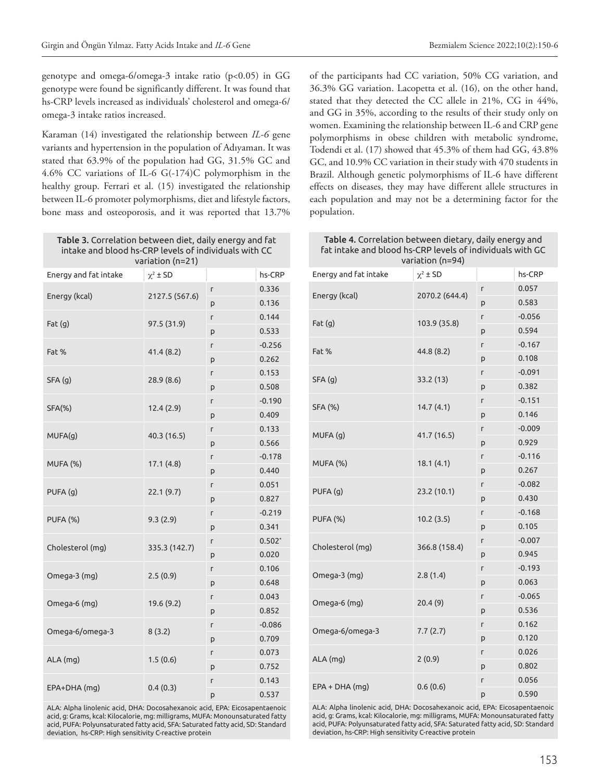genotype and omega-6/omega-3 intake ratio (p<0.05) in GG genotype were found be significantly different. It was found that hs-CRP levels increased as individuals' cholesterol and omega-6/ omega-3 intake ratios increased.

Karaman (14) investigated the relationship between *IL-6* gene variants and hypertension in the population of Adıyaman. It was stated that 63.9% of the population had GG, 31.5% GC and 4.6% CC variations of IL-6 G(-174)C polymorphism in the healthy group. Ferrari et al. (15) investigated the relationship between IL-6 promoter polymorphisms, diet and lifestyle factors, bone mass and osteoporosis, and it was reported that 13.7%

Table 3. Correlation between diet, daily energy and fat intake and blood hs-CRP levels of individuals with CC variation (n=21)

| Energy and fat intake | $\chi^2 \pm SD$ |   | hs-CRP   |
|-----------------------|-----------------|---|----------|
|                       | 2127.5 (567.6)  | г | 0.336    |
| Energy (kcal)         |                 | p | 0.136    |
|                       | 97.5 (31.9)     | г | 0.144    |
| Fat(g)                |                 | p | 0.533    |
| Fat %                 | 41.4 (8.2)      | Г | $-0.256$ |
|                       |                 | p | 0.262    |
| SFA (g)               |                 | Г | 0.153    |
|                       | 28.9 (8.6)      | P | 0.508    |
| <b>SFA(%)</b>         | 12.4 (2.9)      | Г | $-0.190$ |
|                       |                 | p | 0.409    |
| MUFA(g)               | 40.3 (16.5)     | Г | 0.133    |
|                       |                 | p | 0.566    |
| MUFA (%)              | 17.1(4.8)       | Г | $-0.178$ |
|                       |                 | p | 0.440    |
| PUFA (g)              | 22.1 (9.7)      | г | 0.051    |
|                       |                 | p | 0.827    |
| <b>PUFA (%)</b>       | 9.3(2.9)        | Г | $-0.219$ |
|                       |                 | p | 0.341    |
| Cholesterol (mg)      | 335.3 (142.7)   | Г | $0.502*$ |
|                       |                 | p | 0.020    |
| Omega-3 (mg)          | 2.5(0.9)        | Г | 0.106    |
|                       |                 | p | 0.648    |
| Omega-6 (mg)          | 19.6 (9.2)      | Г | 0.043    |
|                       |                 | p | 0.852    |
| Omega-6/omega-3       | 8(3.2)          | Г | $-0.086$ |
|                       |                 | p | 0.709    |
| ALA (mg)              | 1.5(0.6)        | г | 0.073    |
|                       |                 | p | 0.752    |
| EPA+DHA (mg)          | 0.4(0.3)        | Г | 0.143    |
|                       |                 | p | 0.537    |

ALA: Alpha linolenic acid, DHA: Docosahexanoic acid, EPA: Eicosapentaenoic acid, g: Grams, kcal: Kilocalorie, mg: milligrams, MUFA: Monounsaturated fatty acid, PUFA: Polyunsaturated fatty acid, SFA: Saturated fatty acid, SD: Standard deviation, hs-CRP: High sensitivity C-reactive protein

of the participants had CC variation, 50% CG variation, and 36.3% GG variation. Lacopetta et al. (16), on the other hand, stated that they detected the CC allele in 21%, CG in 44%, and GG in 35%, according to the results of their study only on women. Examining the relationship between IL-6 and CRP gene polymorphisms in obese children with metabolic syndrome, Todendi et al. (17) showed that 45.3% of them had GG, 43.8% GC, and 10.9% CC variation in their study with 470 students in Brazil. Although genetic polymorphisms of IL-6 have different effects on diseases, they may have different allele structures in each population and may not be a determining factor for the population.

| Table 4. Correlation between dietary, daily energy and<br>fat intake and blood hs-CRP levels of individuals with GC<br>variation (n=94) |                |   |          |  |  |
|-----------------------------------------------------------------------------------------------------------------------------------------|----------------|---|----------|--|--|
| Energy and fat intake                                                                                                                   | $\chi^2$ ± SD  |   | hs-CRP   |  |  |
|                                                                                                                                         |                | L | 0.057    |  |  |
| Energy (kcal)                                                                                                                           | 2070.2 (644.4) | p | 0.583    |  |  |
|                                                                                                                                         | 103.9 (35.8)   | L | $-0.056$ |  |  |
| Fat(q)                                                                                                                                  |                | p | 0.594    |  |  |
| Fat %                                                                                                                                   | 44.8 (8.2)     | L | $-0.167$ |  |  |
|                                                                                                                                         |                | p | 0.108    |  |  |
| SFA(q)                                                                                                                                  | 33.2 (13)      | L | $-0.091$ |  |  |
|                                                                                                                                         |                | p | 0.382    |  |  |
| SFA (%)                                                                                                                                 | 14.7(4.1)      | Г | $-0.151$ |  |  |
|                                                                                                                                         |                | p | 0.146    |  |  |
| MUFA (q)                                                                                                                                | 41.7 (16.5)    | г | $-0.009$ |  |  |
|                                                                                                                                         |                | p | 0.929    |  |  |
| MUFA (%)                                                                                                                                | 18.1(4.1)      | L | $-0.116$ |  |  |
|                                                                                                                                         |                | p | 0.267    |  |  |
| PUFA (q)                                                                                                                                | 23.2 (10.1)    | L | $-0.082$ |  |  |
|                                                                                                                                         |                | p | 0.430    |  |  |
| <b>PUFA (%)</b>                                                                                                                         | 10.2(3.5)      | L | $-0.168$ |  |  |
|                                                                                                                                         |                | p | 0.105    |  |  |
| Cholesterol (mg)                                                                                                                        | 366.8 (158.4)  | г | $-0.007$ |  |  |
|                                                                                                                                         |                | p | 0.945    |  |  |
| Omega-3 (mg)                                                                                                                            | 2.8(1.4)       | L | $-0.193$ |  |  |
|                                                                                                                                         |                | р | 0.063    |  |  |
| Omega-6 (mg)                                                                                                                            | 20.4(9)        | г | $-0.065$ |  |  |
|                                                                                                                                         |                | p | 0.536    |  |  |
| Omega-6/omega-3                                                                                                                         | 7.7(2.7)       | г | 0.162    |  |  |
|                                                                                                                                         |                | p | 0.120    |  |  |
| $ALA$ (mg)                                                                                                                              | 2(0.9)         | г | 0.026    |  |  |
|                                                                                                                                         |                | p | 0.802    |  |  |
| $EPA + DHA$ (mg)                                                                                                                        | 0.6(0.6)       | L | 0.056    |  |  |
|                                                                                                                                         |                | p | 0.590    |  |  |
| ALA: Alpha linolenic acid, DHA: Docosahexanoic acid, EPA: Eicosapentaenoic                                                              |                |   |          |  |  |

acid, g: Grams, kcal: Kilocalorie, mg: milligrams, MUFA: Monounsaturated fatty acid, PUFA: Polyunsaturated fatty acid, SFA: Saturated fatty acid, SD: Standard deviation, hs-CRP: High sensitivity C-reactive protein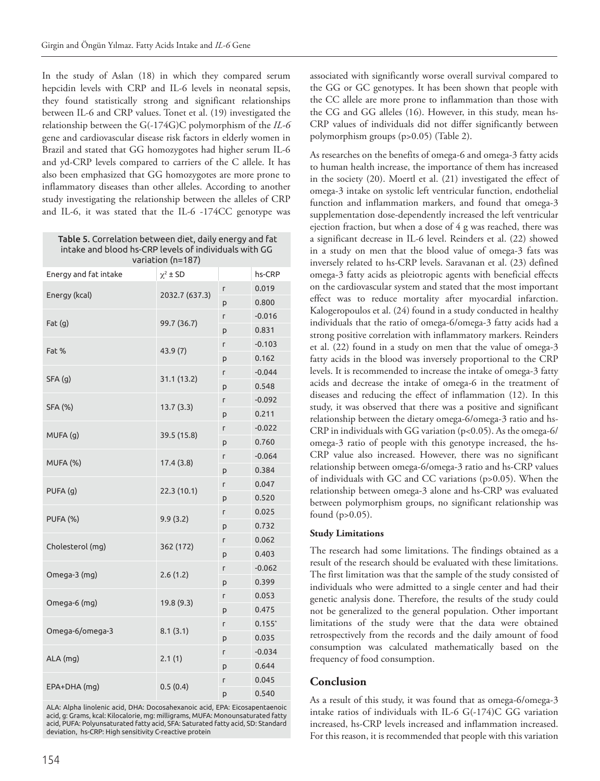In the study of Aslan (18) in which they compared serum hepcidin levels with CRP and IL-6 levels in neonatal sepsis, they found statistically strong and significant relationships between IL-6 and CRP values. Tonet et al. (19) investigated the relationship between the G(-174G)C polymorphism of the *IL-6* gene and cardiovascular disease risk factors in elderly women in Brazil and stated that GG homozygotes had higher serum IL-6 and yd-CRP levels compared to carriers of the C allele. It has also been emphasized that GG homozygotes are more prone to inflammatory diseases than other alleles. According to another study investigating the relationship between the alleles of CRP and IL-6, it was stated that the IL-6 -174CC genotype was

Table 5. Correlation between diet, daily energy and fat intake and blood hs-CRP levels of individuals with GG variation (n=187)

| Energy and fat intake | $\chi^2 \pm SD$ |   | hs-CRP   |
|-----------------------|-----------------|---|----------|
| Energy (kcal)         |                 | Г | 0.019    |
|                       | 2032.7 (637.3)  |   | 0.800    |
| Fat(g)                | 99.7 (36.7)     | Г | $-0.016$ |
|                       |                 | p | 0.831    |
| Fat %                 | 43.9(7)         | г | $-0.103$ |
|                       |                 | p | 0.162    |
| SFA (g)               | 31.1 (13.2)     | г | $-0.044$ |
|                       |                 | p | 0.548    |
| <b>SFA (%)</b>        | 13.7(3.3)       | Г | $-0.092$ |
|                       |                 | p | 0.211    |
| MUFA (g)              | 39.5 (15.8)     | г | $-0.022$ |
|                       |                 | p | 0.760    |
| MUFA (%)              | 17.4(3.8)       | Г | $-0.064$ |
|                       |                 | p | 0.384    |
| PUFA (g)              | 22.3 (10.1)     | Г | 0.047    |
|                       |                 | p | 0.520    |
| <b>PUFA (%)</b>       | 9.9(3.2)        | г | 0.025    |
|                       |                 | p | 0.732    |
| Cholesterol (mg)      | 362 (172)       | Г | 0.062    |
|                       |                 | p | 0.403    |
| Omega-3 (mg)          | 2.6(1.2)        | Г | $-0.062$ |
|                       |                 | p | 0.399    |
| Omega-6 (mg)          | 19.8 (9.3)      | г | 0.053    |
|                       |                 | p | 0.475    |
| Omega-6/omega-3       | 8.1(3.1)        | Г | $0.155*$ |
|                       |                 | p | 0.035    |
| ALA (mg)              | 2.1(1)          | Г | $-0.034$ |
|                       |                 | p | 0.644    |
| EPA+DHA (mg)          | 0.5(0.4)        | Г | 0.045    |
|                       |                 | p | 0.540    |

ALA: Alpha linolenic acid, DHA: Docosahexanoic acid, EPA: Eicosapentaenoic acid, g: Grams, kcal: Kilocalorie, mg: milligrams, MUFA: Monounsaturated fatty acid, PUFA: Polyunsaturated fatty acid, SFA: Saturated fatty acid, SD: Standard deviation, hs-CRP: High sensitivity C-reactive protein

associated with significantly worse overall survival compared to the GG or GC genotypes. It has been shown that people with the CC allele are more prone to inflammation than those with the CG and GG alleles (16). However, in this study, mean hs-CRP values of individuals did not differ significantly between polymorphism groups (p>0.05) (Table 2).

As researches on the benefits of omega-6 and omega-3 fatty acids to human health increase, the importance of them has increased in the society (20). Moertl et al. (21) investigated the effect of omega-3 intake on systolic left ventricular function, endothelial function and inflammation markers, and found that omega-3 supplementation dose-dependently increased the left ventricular ejection fraction, but when a dose of 4 g was reached, there was a significant decrease in IL-6 level. Reinders et al. (22) showed in a study on men that the blood value of omega-3 fats was inversely related to hs-CRP levels. Saravanan et al. (23) defined omega-3 fatty acids as pleiotropic agents with beneficial effects on the cardiovascular system and stated that the most important effect was to reduce mortality after myocardial infarction. Kalogeropoulos et al. (24) found in a study conducted in healthy individuals that the ratio of omega-6/omega-3 fatty acids had a strong positive correlation with inflammatory markers. Reinders et al. (22) found in a study on men that the value of omega-3 fatty acids in the blood was inversely proportional to the CRP levels. It is recommended to increase the intake of omega-3 fatty acids and decrease the intake of omega-6 in the treatment of diseases and reducing the effect of inflammation (12). In this study, it was observed that there was a positive and significant relationship between the dietary omega-6/omega-3 ratio and hs-CRP in individuals with GG variation (p<0.05). As the omega-6/ omega-3 ratio of people with this genotype increased, the hs-CRP value also increased. However, there was no significant relationship between omega-6/omega-3 ratio and hs-CRP values of individuals with GC and CC variations (p>0.05). When the relationship between omega-3 alone and hs-CRP was evaluated between polymorphism groups, no significant relationship was found (p>0.05).

#### **Study Limitations**

The research had some limitations. The findings obtained as a result of the research should be evaluated with these limitations. The first limitation was that the sample of the study consisted of individuals who were admitted to a single center and had their genetic analysis done. Therefore, the results of the study could not be generalized to the general population. Other important limitations of the study were that the data were obtained retrospectively from the records and the daily amount of food consumption was calculated mathematically based on the frequency of food consumption.

## **Conclusion**

As a result of this study, it was found that as omega-6/omega-3 intake ratios of individuals with IL-6 G(-174)C GG variation increased, hs-CRP levels increased and inflammation increased. For this reason, it is recommended that people with this variation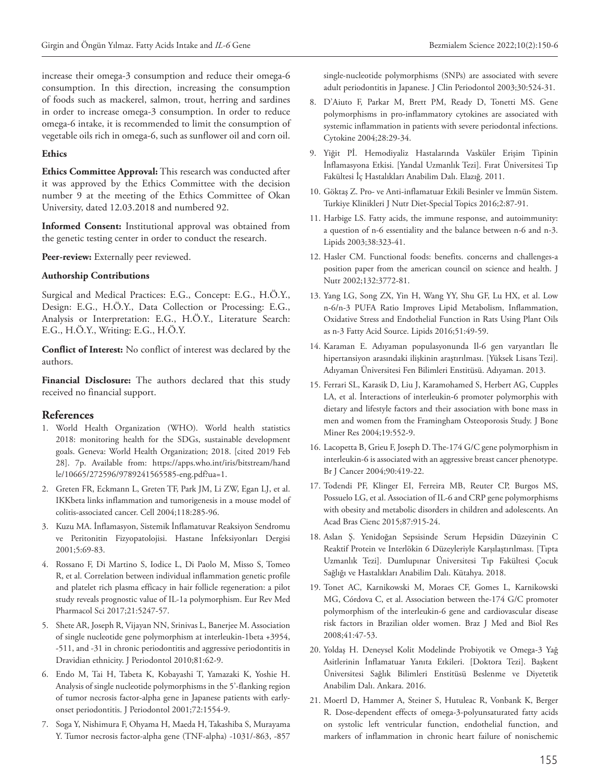increase their omega-3 consumption and reduce their omega-6 consumption. In this direction, increasing the consumption of foods such as mackerel, salmon, trout, herring and sardines in order to increase omega-3 consumption. In order to reduce omega-6 intake, it is recommended to limit the consumption of vegetable oils rich in omega-6, such as sunflower oil and corn oil.

#### **Ethics**

**Ethics Committee Approval:** This research was conducted after it was approved by the Ethics Committee with the decision number 9 at the meeting of the Ethics Committee of Okan University, dated 12.03.2018 and numbered 92.

**Informed Consent:** Institutional approval was obtained from the genetic testing center in order to conduct the research.

Peer-review: Externally peer reviewed.

#### **Authorship Contributions**

Surgical and Medical Practices: E.G., Concept: E.G., H.Ö.Y., Design: E.G., H.Ö.Y., Data Collection or Processing: E.G., Analysis or Interpretation: E.G., H.Ö.Y., Literature Search: E.G., H.Ö.Y., Writing: E.G., H.Ö.Y.

**Conflict of Interest:** No conflict of interest was declared by the authors.

**Financial Disclosure:** The authors declared that this study received no financial support.

## **References**

- 1. World Health Organization (WHO). World health statistics 2018: monitoring health for the SDGs, sustainable development goals. Geneva: World Health Organization; 2018. [cited 2019 Feb 28]. 7p. Available from: https://apps.who.int/iris/bitstream/hand le/10665/272596/9789241565585-eng.pdf?ua=1.
- 2. Greten FR, Eckmann L, Greten TF, Park JM, Li ZW, Egan LJ, et al. IKKbeta links inflammation and tumorigenesis in a mouse model of colitis-associated cancer. Cell 2004;118:285-96.
- 3. Kuzu MA. İnflamasyon, Sistemik İnflamatuvar Reaksiyon Sendromu ve Peritonitin Fizyopatolojisi. Hastane İnfeksiyonları Dergisi 2001;5:69-83.
- 4. Rossano F, Di Martino S, Iodice L, Di Paolo M, Misso S, Tomeo R, et al. Correlation between individual inflammation genetic profile and platelet rich plasma efficacy in hair follicle regeneration: a pilot study reveals prognostic value of IL-1a polymorphism. Eur Rev Med Pharmacol Sci 2017;21:5247-57.
- 5. Shete AR, Joseph R, Vijayan NN, Srinivas L, Banerjee M. Association of single nucleotide gene polymorphism at interleukin-1beta +3954, -511, and -31 in chronic periodontitis and aggressive periodontitis in Dravidian ethnicity. J Periodontol 2010;81:62-9.
- 6. Endo M, Tai H, Tabeta K, Kobayashi T, Yamazaki K, Yoshie H. Analysis of single nucleotide polymorphisms in the 5'-flanking region of tumor necrosis factor-alpha gene in Japanese patients with earlyonset periodontitis. J Periodontol 2001;72:1554-9.
- 7. Soga Y, Nishimura F, Ohyama H, Maeda H, Takashiba S, Murayama Y. Tumor necrosis factor-alpha gene (TNF-alpha) -1031/-863, -857

single-nucleotide polymorphisms (SNPs) are associated with severe adult periodontitis in Japanese. J Clin Periodontol 2003;30:524-31.

- 8. D'Aiuto F, Parkar M, Brett PM, Ready D, Tonetti MS. Gene polymorphisms in pro-inflammatory cytokines are associated with systemic inflammation in patients with severe periodontal infections. Cytokine 2004;28:29-34.
- 9. Yiğit Pİ. Hemodiyaliz Hastalarında Vasküler Erişim Tipinin İnflamasyona Etkisi. [Yandal Uzmanlık Tezi]. Fırat Üniversitesi Tıp Fakültesi İç Hastalıkları Anabilim Dalı. Elazığ. 2011.
- 10. Göktaş Z. Pro- ve Anti-inflamatuar Etkili Besinler ve İmmün Sistem. Turkiye Klinikleri J Nutr Diet-Special Topics 2016;2:87-91.
- 11. Harbige LS. Fatty acids, the immune response, and autoimmunity: a question of n-6 essentiality and the balance between n-6 and n-3. Lipids 2003;38:323-41.
- 12. Hasler CM. Functional foods: benefits. concerns and challenges-a position paper from the american council on science and health. J Nutr 2002;132:3772-81.
- 13. Yang LG, Song ZX, Yin H, Wang YY, Shu GF, Lu HX, et al. Low n-6/n-3 PUFA Ratio Improves Lipid Metabolism, Inflammation, Oxidative Stress and Endothelial Function in Rats Using Plant Oils as n-3 Fatty Acid Source. Lipids 2016;51:49-59.
- 14. Karaman E. Adıyaman populasyonunda Il-6 gen varyantları İle hipertansiyon arasındaki ilişkinin araştırılması. [Yüksek Lisans Tezi]. Adıyaman Üniversitesi Fen Bilimleri Enstitüsü. Adıyaman. 2013.
- 15. Ferrari SL, Karasik D, Liu J, Karamohamed S, Herbert AG, Cupples LA, et al. İnteractions of interleukin-6 promoter polymorphis with dietary and lifestyle factors and their association with bone mass in men and women from the Framingham Osteoporosis Study. J Bone Miner Res 2004;19:552-9.
- 16. Lacopetta B, Grieu F, Joseph D. The-174 G/C gene polymorphism in interleukin-6 is associated with an aggressive breast cancer phenotype. Br J Cancer 2004;90:419-22.
- 17. Todendi PF, Klinger EI, Ferreira MB, Reuter CP, Burgos MS, Possuelo LG, et al. Association of IL-6 and CRP gene polymorphisms with obesity and metabolic disorders in children and adolescents. An Acad Bras Cienc 2015;87:915-24.
- 18. Aslan Ş. Yenidoğan Sepsisinde Serum Hepsidin Düzeyinin C Reaktif Protein ve Interlökin 6 Düzeyleriyle Karşılaştırılması. [Tıpta Uzmanlık Tezi]. Dumlupınar Üniversitesi Tıp Fakültesi Çocuk Sağlığı ve Hastalıkları Anabilim Dalı. Kütahya. 2018.
- 19. Tonet AC, Karnikowski M, Moraes CF, Gomes L, Karnikowski MG, Córdova C, et al. Association between the-174 G/C promoter polymorphism of the interleukin-6 gene and cardiovascular disease risk factors in Brazilian older women. Braz J Med and Biol Res 2008;41:47-53.
- 20. Yoldaş H. Deneysel Kolit Modelinde Probiyotik ve Omega-3 Yağ Asitlerinin İnflamatuar Yanıta Etkileri. [Doktora Tezi]. Başkent Üniversitesi Sağlık Bilimleri Enstitüsü Beslenme ve Diyetetik Anabilim Dalı. Ankara. 2016.
- 21. Moertl D, Hammer A, Steiner S, Hutuleac R, Vonbank K, Berger R. Dose-dependent effects of omega-3-polyunsaturated fatty acids on systolic left ventricular function, endothelial function, and markers of inflammation in chronic heart failure of nonischemic